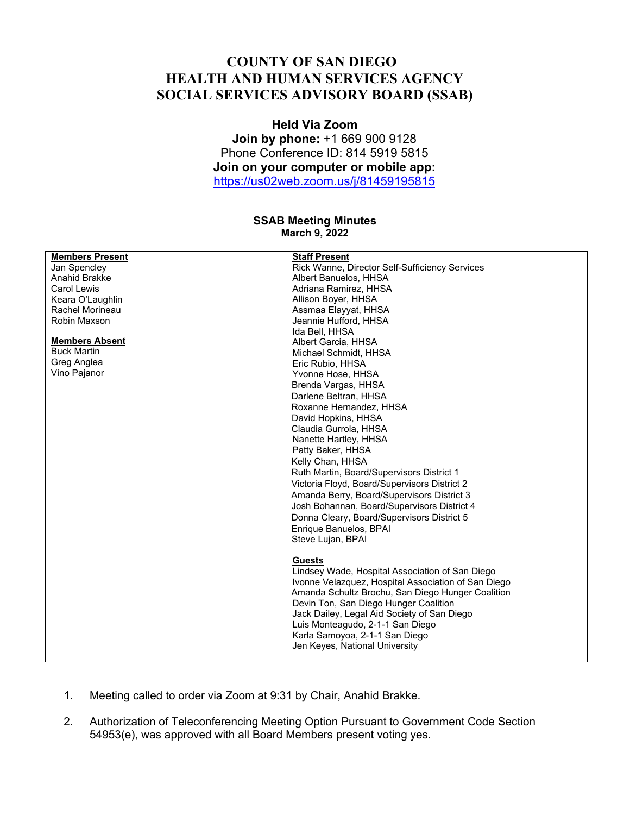## **COUNTY OF SAN DIEGO HEALTH AND HUMAN SERVICES AGENCY SOCIAL SERVICES ADVISORY BOARD (SSAB)**

## **Held Via Zoom Join by phone:** +1 669 900 9128 Phone Conference ID: 814 5919 5815 **Join on your computer or mobile app:**

https://us02web.zoom.us/j/81459195815

## **SSAB Meeting Minutes March 9, 2022**

| <b>Staff Present</b><br><b>Members Present</b>                 |  |
|----------------------------------------------------------------|--|
| Rick Wanne, Director Self-Sufficiency Services<br>Jan Spencley |  |
| Anahid Brakke<br>Albert Banuelos, HHSA                         |  |
| Adriana Ramirez, HHSA<br>Carol Lewis                           |  |
| Allison Boyer, HHSA<br>Keara O'Laughlin                        |  |
| Rachel Morineau<br>Assmaa Elayyat, HHSA                        |  |
| Robin Maxson<br>Jeannie Hufford, HHSA                          |  |
| Ida Bell, HHSA                                                 |  |
| <b>Members Absent</b><br>Albert Garcia, HHSA                   |  |
| <b>Buck Martin</b><br>Michael Schmidt, HHSA                    |  |
| Greg Anglea<br>Eric Rubio, HHSA                                |  |
| Vino Pajanor<br>Yvonne Hose, HHSA                              |  |
| Brenda Vargas, HHSA                                            |  |
| Darlene Beltran, HHSA                                          |  |
| Roxanne Hernandez, HHSA                                        |  |
| David Hopkins, HHSA                                            |  |
| Claudia Gurrola, HHSA                                          |  |
| Nanette Hartley, HHSA                                          |  |
| Patty Baker, HHSA                                              |  |
| Kelly Chan, HHSA                                               |  |
| Ruth Martin, Board/Supervisors District 1                      |  |
| Victoria Floyd, Board/Supervisors District 2                   |  |
| Amanda Berry, Board/Supervisors District 3                     |  |
| Josh Bohannan, Board/Supervisors District 4                    |  |
| Donna Cleary, Board/Supervisors District 5                     |  |
| Enrique Banuelos, BPAI                                         |  |
| Steve Lujan, BPAI                                              |  |
|                                                                |  |
| <b>Guests</b>                                                  |  |
| Lindsey Wade, Hospital Association of San Diego                |  |
| Ivonne Velazquez, Hospital Association of San Diego            |  |
| Amanda Schultz Brochu, San Diego Hunger Coalition              |  |
| Devin Ton, San Diego Hunger Coalition                          |  |
| Jack Dailey, Legal Aid Society of San Diego                    |  |
| Luis Monteagudo, 2-1-1 San Diego                               |  |
| Karla Samoyoa, 2-1-1 San Diego                                 |  |
| Jen Keyes, National University                                 |  |
|                                                                |  |

- 1. Meeting called to order via Zoom at 9:31 by Chair, Anahid Brakke.
- 2. Authorization of Teleconferencing Meeting Option Pursuant to Government Code Section 54953(e), was approved with all Board Members present voting yes.